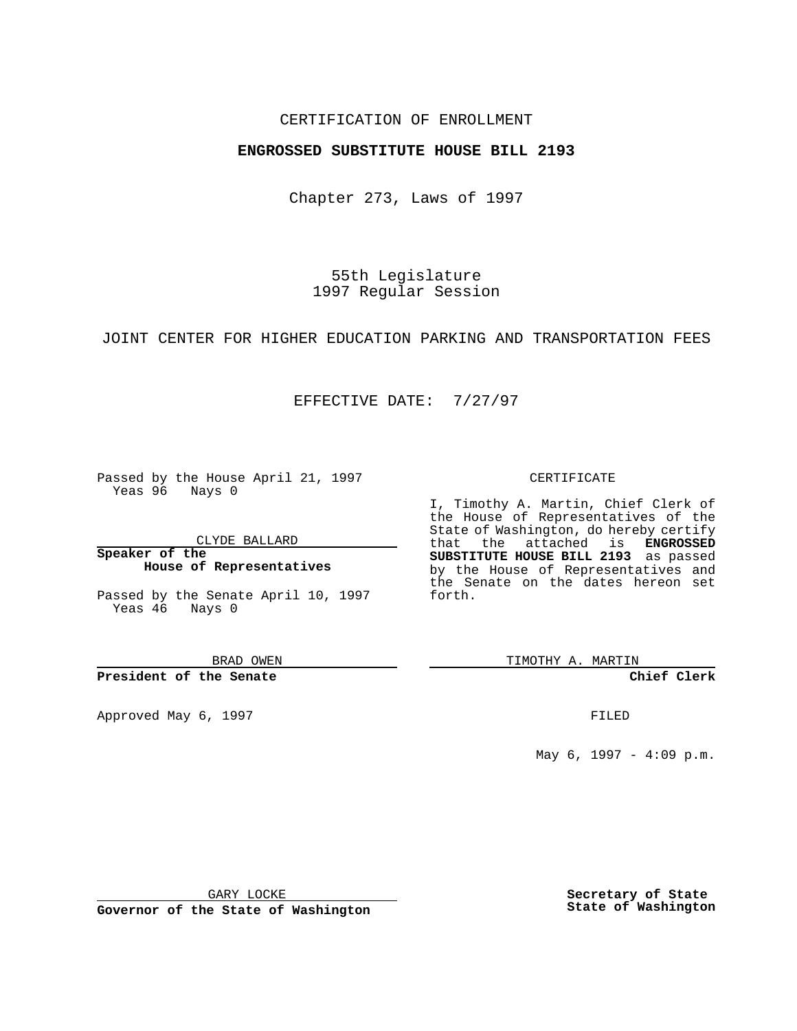## CERTIFICATION OF ENROLLMENT

## **ENGROSSED SUBSTITUTE HOUSE BILL 2193**

Chapter 273, Laws of 1997

55th Legislature 1997 Regular Session

JOINT CENTER FOR HIGHER EDUCATION PARKING AND TRANSPORTATION FEES

## EFFECTIVE DATE: 7/27/97

Passed by the House April 21, 1997 Yeas 96 Nays 0

CLYDE BALLARD

**Speaker of the House of Representatives**

Passed by the Senate April 10, 1997 Yeas 46 Nays 0

BRAD OWEN

**President of the Senate**

Approved May 6, 1997 **FILED** 

### CERTIFICATE

I, Timothy A. Martin, Chief Clerk of the House of Representatives of the State of Washington, do hereby certify that the attached is **ENGROSSED SUBSTITUTE HOUSE BILL 2193** as passed by the House of Representatives and the Senate on the dates hereon set forth.

TIMOTHY A. MARTIN

**Chief Clerk**

May 6, 1997 - 4:09 p.m.

GARY LOCKE

**Governor of the State of Washington**

**Secretary of State State of Washington**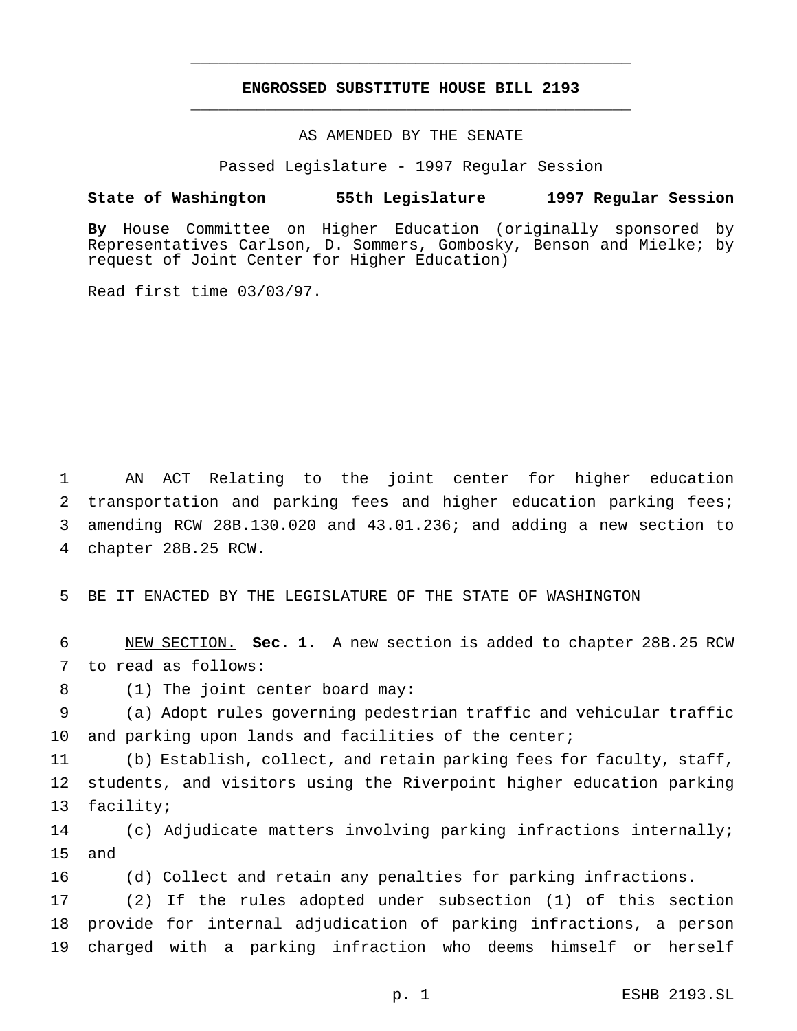# **ENGROSSED SUBSTITUTE HOUSE BILL 2193** \_\_\_\_\_\_\_\_\_\_\_\_\_\_\_\_\_\_\_\_\_\_\_\_\_\_\_\_\_\_\_\_\_\_\_\_\_\_\_\_\_\_\_\_\_\_\_

\_\_\_\_\_\_\_\_\_\_\_\_\_\_\_\_\_\_\_\_\_\_\_\_\_\_\_\_\_\_\_\_\_\_\_\_\_\_\_\_\_\_\_\_\_\_\_

## AS AMENDED BY THE SENATE

Passed Legislature - 1997 Regular Session

#### **State of Washington 55th Legislature 1997 Regular Session**

**By** House Committee on Higher Education (originally sponsored by Representatives Carlson, D. Sommers, Gombosky, Benson and Mielke; by request of Joint Center for Higher Education)

Read first time 03/03/97.

 AN ACT Relating to the joint center for higher education transportation and parking fees and higher education parking fees; amending RCW 28B.130.020 and 43.01.236; and adding a new section to chapter 28B.25 RCW.

5 BE IT ENACTED BY THE LEGISLATURE OF THE STATE OF WASHINGTON

6 NEW SECTION. **Sec. 1.** A new section is added to chapter 28B.25 RCW 7 to read as follows:

8 (1) The joint center board may:

9 (a) Adopt rules governing pedestrian traffic and vehicular traffic 10 and parking upon lands and facilities of the center;

11 (b) Establish, collect, and retain parking fees for faculty, staff, 12 students, and visitors using the Riverpoint higher education parking 13 facility;

14 (c) Adjudicate matters involving parking infractions internally; 15 and

16 (d) Collect and retain any penalties for parking infractions.

17 (2) If the rules adopted under subsection (1) of this section 18 provide for internal adjudication of parking infractions, a person 19 charged with a parking infraction who deems himself or herself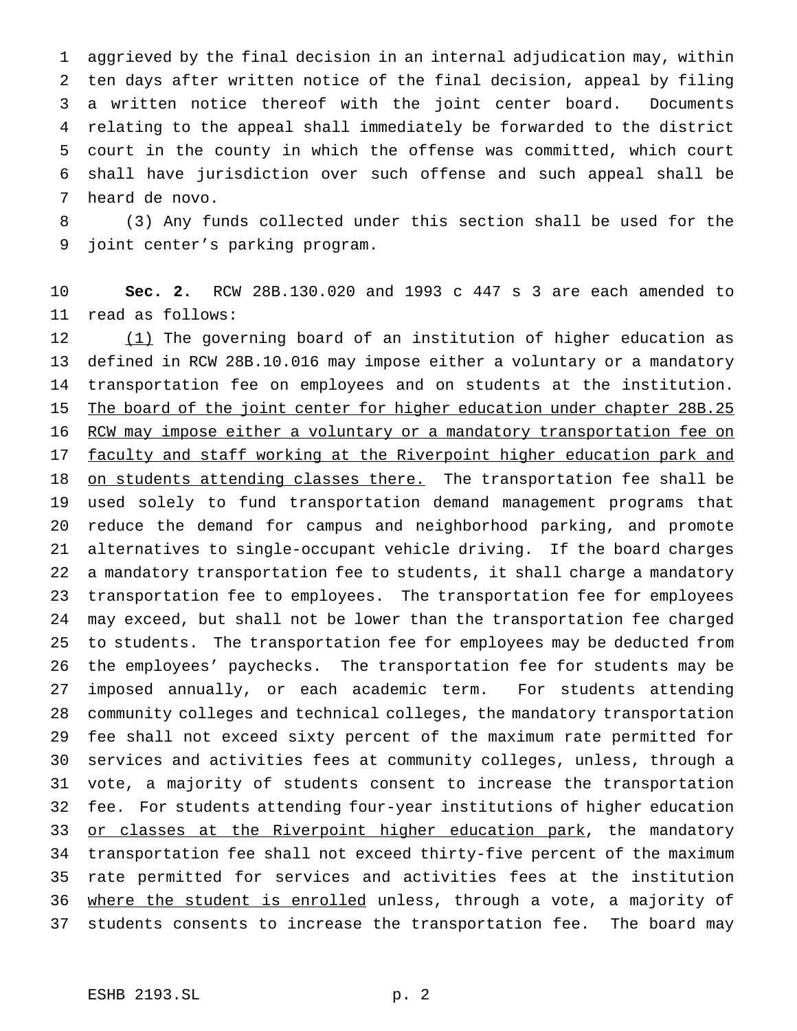aggrieved by the final decision in an internal adjudication may, within ten days after written notice of the final decision, appeal by filing a written notice thereof with the joint center board. Documents relating to the appeal shall immediately be forwarded to the district court in the county in which the offense was committed, which court shall have jurisdiction over such offense and such appeal shall be heard de novo.

 (3) Any funds collected under this section shall be used for the joint center's parking program.

 **Sec. 2.** RCW 28B.130.020 and 1993 c 447 s 3 are each amended to read as follows:

 (1) The governing board of an institution of higher education as defined in RCW 28B.10.016 may impose either a voluntary or a mandatory transportation fee on employees and on students at the institution. 15 The board of the joint center for higher education under chapter 28B.25 16 RCW may impose either a voluntary or a mandatory transportation fee on 17 faculty and staff working at the Riverpoint higher education park and 18 on students attending classes there. The transportation fee shall be used solely to fund transportation demand management programs that reduce the demand for campus and neighborhood parking, and promote alternatives to single-occupant vehicle driving. If the board charges a mandatory transportation fee to students, it shall charge a mandatory transportation fee to employees. The transportation fee for employees may exceed, but shall not be lower than the transportation fee charged to students. The transportation fee for employees may be deducted from the employees' paychecks. The transportation fee for students may be imposed annually, or each academic term. For students attending community colleges and technical colleges, the mandatory transportation fee shall not exceed sixty percent of the maximum rate permitted for services and activities fees at community colleges, unless, through a vote, a majority of students consent to increase the transportation fee. For students attending four-year institutions of higher education 33 or classes at the Riverpoint higher education park, the mandatory transportation fee shall not exceed thirty-five percent of the maximum rate permitted for services and activities fees at the institution 36 where the student is enrolled unless, through a vote, a majority of students consents to increase the transportation fee. The board may